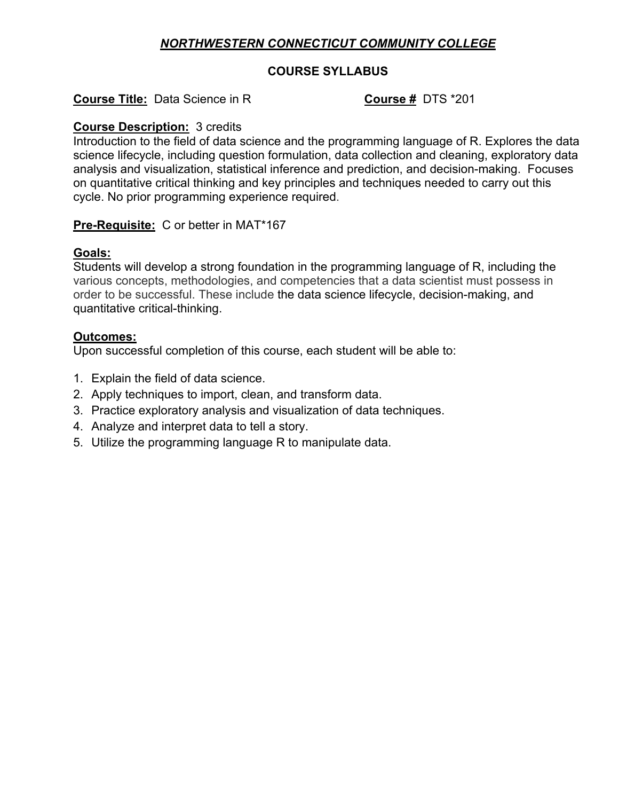# *NORTHWESTERN CONNECTICUT COMMUNITY COLLEGE*

## **COURSE SYLLABUS**

# **Course Title:** Data Science in R **COURSE 1998** COURSE **#** DTS \*201

## **Course Description:** 3 credits

Introduction to the field of data science and the programming language of R. Explores the data science lifecycle, including question formulation, data collection and cleaning, exploratory data analysis and visualization, statistical inference and prediction, and decision-making. Focuses on quantitative critical thinking and key principles and techniques needed to carry out this cycle. No prior programming experience required.

### **Pre-Requisite:** C or better in MAT\*167

#### **Goals:**

Students will develop a strong foundation in the programming language of R, including the various concepts, methodologies, and competencies that a data scientist must possess in order to be successful. These include the data science lifecycle, decision-making, and quantitative critical-thinking.

### **Outcomes:**

Upon successful completion of this course, each student will be able to:

- 1. Explain the field of data science.
- 2. Apply techniques to import, clean, and transform data.
- 3. Practice exploratory analysis and visualization of data techniques.
- 4. Analyze and interpret data to tell a story.
- 5. Utilize the programming language R to manipulate data.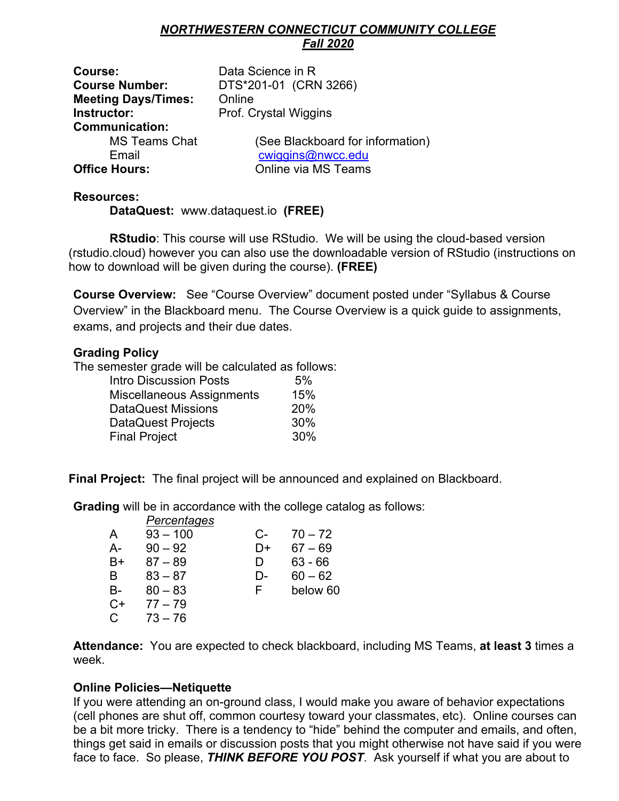# *NORTHWESTERN CONNECTICUT COMMUNITY COLLEGE Fall 2020*

**Course:** Data Science in R **Meeting Days/Times:** Online **Instructor:** Prof. Crystal Wiggins **Communication: Office Hours:** Online via MS Teams

**Course Number:** DTS\*201-01 (CRN 3266)

MS Teams Chat (See Blackboard for information) Email cwiggins@nwcc.edu

# **Resources:**

**DataQuest:** www.dataquest.io **(FREE)**

 **RStudio**: This course will use RStudio. We will be using the cloud-based version (rstudio.cloud) however you can also use the downloadable version of RStudio (instructions on how to download will be given during the course). **(FREE)**

**Course Overview:** See "Course Overview" document posted under "Syllabus & Course Overview" in the Blackboard menu. The Course Overview is a quick guide to assignments, exams, and projects and their due dates.

# **Grading Policy**

The semester grade will be calculated as follows:

| <b>Intro Discussion Posts</b> | 5%  |
|-------------------------------|-----|
| Miscellaneous Assignments     | 15% |
| DataQuest Missions            | 20% |
| DataQuest Projects            | 30% |
| <b>Final Project</b>          | 30% |

**Final Project:** The final project will be announced and explained on Blackboard.

**Grading** will be in accordance with the college catalog as follows:

|        | Percentages |    |           |
|--------|-------------|----|-----------|
| A      | $93 - 100$  | C- | $70 - 72$ |
| А-     | $90 - 92$   | D+ | $67 - 69$ |
| B+     | $87 - 89$   | D  | $63 - 66$ |
| B      | $83 - 87$   | D- | $60 - 62$ |
| B-     | $80 - 83$   | F  | below 60  |
| C+     | $77 - 79$   |    |           |
| $\cap$ | 73 – 76     |    |           |

**Attendance:** You are expected to check blackboard, including MS Teams, **at least 3** times a week.

# **Online Policies—Netiquette**

If you were attending an on-ground class, I would make you aware of behavior expectations (cell phones are shut off, common courtesy toward your classmates, etc). Online courses can be a bit more tricky. There is a tendency to "hide" behind the computer and emails, and often, things get said in emails or discussion posts that you might otherwise not have said if you were face to face. So please, *THINK BEFORE YOU POST*. Ask yourself if what you are about to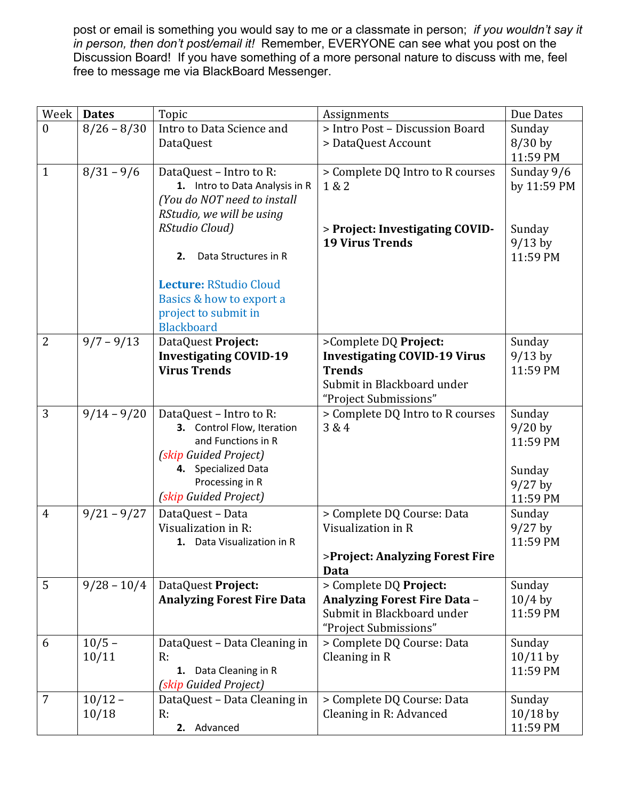post or email is something you would say to me or a classmate in person; *if you wouldn't say it in person, then don't post/email it!* Remember, EVERYONE can see what you post on the Discussion Board! If you have something of a more personal nature to discuss with me, feel free to message me via BlackBoard Messenger.

| Week           | <b>Dates</b>  | Topic                                                | Assignments                                 | Due Dates             |
|----------------|---------------|------------------------------------------------------|---------------------------------------------|-----------------------|
| $\mathbf{0}$   | $8/26 - 8/30$ | Intro to Data Science and                            | > Intro Post - Discussion Board             | Sunday                |
|                |               | DataQuest                                            | > DataQuest Account                         | $8/30$ by             |
|                |               |                                                      |                                             | 11:59 PM              |
| $\mathbf{1}$   | $8/31 - 9/6$  | DataQuest - Intro to R:                              | > Complete DQ Intro to R courses            | Sunday 9/6            |
|                |               | 1. Intro to Data Analysis in R                       | 1 & 2                                       | by 11:59 PM           |
|                |               | (You do NOT need to install                          |                                             |                       |
|                |               | RStudio, we will be using                            |                                             |                       |
|                |               | RStudio Cloud)                                       | > Project: Investigating COVID-             | Sunday                |
|                |               |                                                      | <b>19 Virus Trends</b>                      | $9/13$ by             |
|                |               | Data Structures in R<br>2.                           |                                             | 11:59 PM              |
|                |               | Lecture: RStudio Cloud                               |                                             |                       |
|                |               | Basics & how to export a                             |                                             |                       |
|                |               | project to submit in                                 |                                             |                       |
|                |               | <b>Blackboard</b>                                    |                                             |                       |
| $\overline{2}$ | $9/7 - 9/13$  | DataQuest Project:                                   | >Complete DQ Project:                       | Sunday                |
|                |               | <b>Investigating COVID-19</b><br><b>Virus Trends</b> | <b>Investigating COVID-19 Virus</b>         | $9/13$ by<br>11:59 PM |
|                |               |                                                      | <b>Trends</b><br>Submit in Blackboard under |                       |
|                |               |                                                      | "Project Submissions"                       |                       |
| 3              | $9/14 - 9/20$ | DataQuest - Intro to R:                              | > Complete DQ Intro to R courses            | Sunday                |
|                |               | 3. Control Flow, Iteration                           | 3 & 4                                       | $9/20$ by             |
|                |               | and Functions in R                                   |                                             | 11:59 PM              |
|                |               | (skip Guided Project)                                |                                             |                       |
|                |               | 4. Specialized Data                                  |                                             | Sunday                |
|                |               | Processing in R                                      |                                             | $9/27$ by             |
|                |               | (skip Guided Project)                                |                                             | 11:59 PM              |
| $\overline{4}$ | $9/21 - 9/27$ | DataQuest - Data                                     | > Complete DQ Course: Data                  | Sunday                |
|                |               | Visualization in R:                                  | Visualization in R                          | $9/27$ by             |
|                |               | 1. Data Visualization in R                           |                                             | 11:59 PM              |
|                |               |                                                      | >Project: Analyzing Forest Fire             |                       |
|                |               |                                                      | Data                                        |                       |
| 5              | $9/28 - 10/4$ | DataQuest Project:                                   | > Complete DQ Project:                      | Sunday                |
|                |               | <b>Analyzing Forest Fire Data</b>                    | Analyzing Forest Fire Data -                | $10/4$ by             |
|                |               |                                                      | Submit in Blackboard under                  | 11:59 PM              |
|                |               |                                                      | "Project Submissions"                       |                       |
| 6              | $10/5 -$      | DataQuest - Data Cleaning in                         | > Complete DQ Course: Data                  | Sunday                |
|                | 10/11         | R:                                                   | Cleaning in R                               | $10/11$ by            |
|                |               | 1. Data Cleaning in R                                |                                             | 11:59 PM              |
|                |               | (skip Guided Project)                                |                                             |                       |
| $\overline{7}$ | $10/12 -$     | DataQuest - Data Cleaning in                         | > Complete DQ Course: Data                  | Sunday                |
|                | 10/18         | R:                                                   | Cleaning in R: Advanced                     | $10/18$ by            |
|                |               | 2. Advanced                                          |                                             | 11:59 PM              |